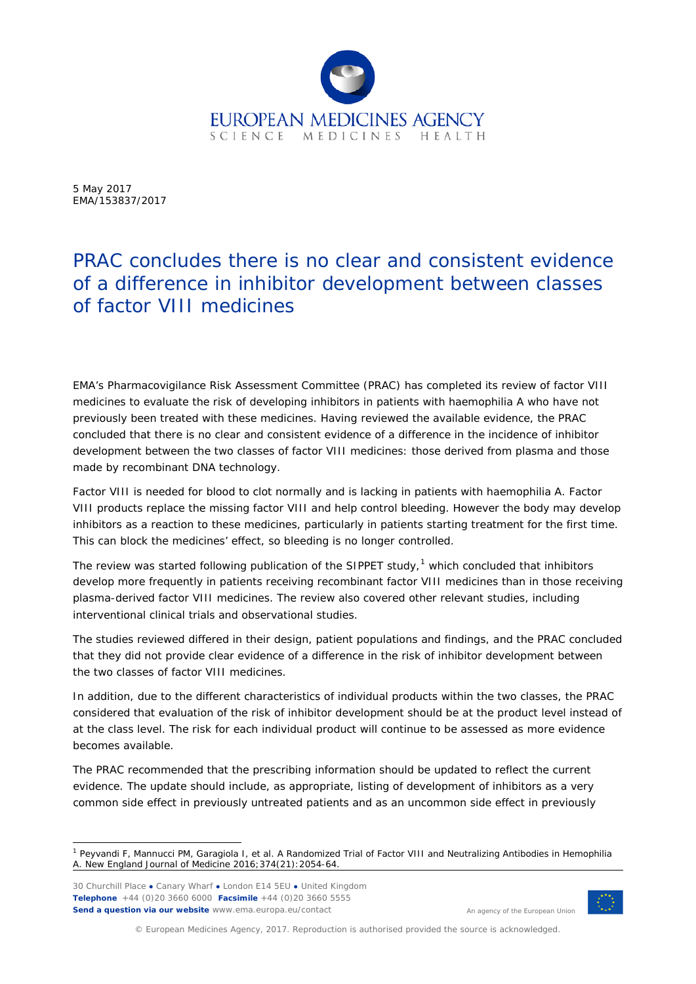

5 May 2017 EMA/153837/2017

## PRAC concludes there is no clear and consistent evidence of a difference in inhibitor development between classes of factor VIII medicines

EMA's Pharmacovigilance Risk Assessment Committee (PRAC) has completed its review of factor VIII medicines to evaluate the risk of developing inhibitors in patients with haemophilia A who have not previously been treated with these medicines. Having reviewed the available evidence, the PRAC concluded that there is no clear and consistent evidence of a difference in the incidence of inhibitor development between the two classes of factor VIII medicines: those derived from plasma and those made by recombinant DNA technology.

Factor VIII is needed for blood to clot normally and is lacking in patients with haemophilia A. Factor VIII products replace the missing factor VIII and help control bleeding. However the body may develop inhibitors as a reaction to these medicines, particularly in patients starting treatment for the first time. This can block the medicines' effect, so bleeding is no longer controlled.

The review was started following publication of the SIPPET study, $1$  which concluded that inhibitors develop more frequently in patients receiving recombinant factor VIII medicines than in those receiving plasma-derived factor VIII medicines. The review also covered other relevant studies, including interventional clinical trials and observational studies.

The studies reviewed differed in their design, patient populations and findings, and the PRAC concluded that they did not provide clear evidence of a difference in the risk of inhibitor development between the two classes of factor VIII medicines.

In addition, due to the different characteristics of individual products within the two classes, the PRAC considered that evaluation of the risk of inhibitor development should be at the product level instead of at the class level. The risk for each individual product will continue to be assessed as more evidence becomes available.

The PRAC recommended that the prescribing information should be updated to reflect the current evidence. The update should include, as appropriate, listing of development of inhibitors as a very common side effect in previously untreated patients and as an uncommon side effect in previously

30 Churchill Place **●** Canary Wharf **●** London E14 5EU **●** United Kingdom **Telephone** +44 (0)20 3660 6000 **Facsimile** +44 (0)20 3660 5555 **Send a question via our website** www.ema.europa.eu/contact



An agency of the European Union

© European Medicines Agency, 2017. Reproduction is authorised provided the source is acknowledged.

<span id="page-0-0"></span><sup>&</sup>lt;sup>1</sup> Peyvandi F, Mannucci PM, Garagiola I, et al. A Randomized Trial of Factor VIII and Neutralizing Antibodies in Hemophilia A. New England Journal of Medicine 2016;374(21):2054-64.